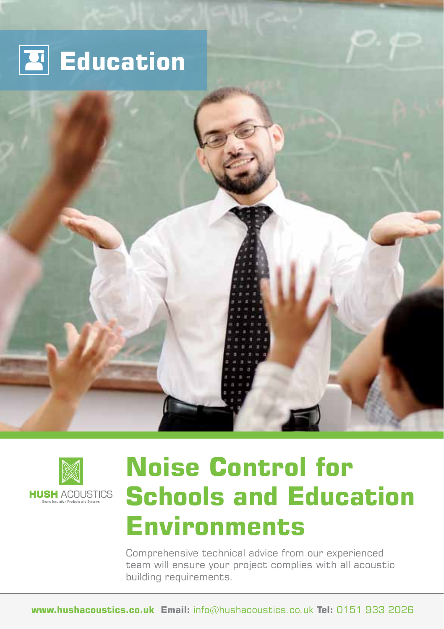





# **Noise Control for Schools and Education Environments**

Comprehensive technical advice from our experienced team will ensure your project complies with all acoustic building requirements.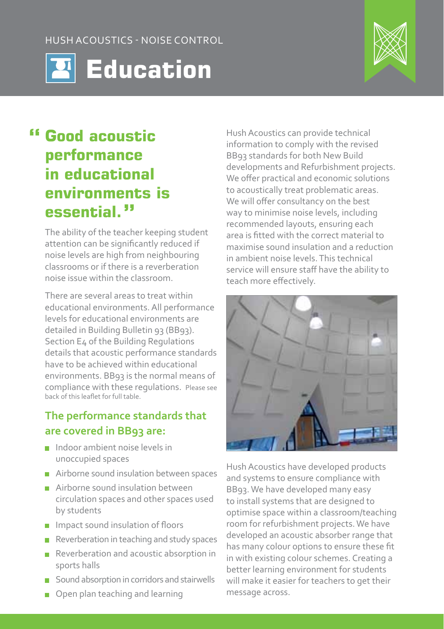Hush Acoustics - Noise Control





### **Good acoustic performance in educational environments is essential.**

The ability of the teacher keeping student attention can be significantly reduced if noise levels are high from neighbouring classrooms or if there is a reverberation noise issue within the classroom.

There are several areas to treat within educational environments. All performance levels for educational environments are detailed in Building Bulletin 93 (BB93). Section E4 of the Building Regulations details that acoustic performance standards have to be achieved within educational environments. BB93 is the normal means of compliance with these regulations. Please see back of this leaflet for full table.

#### **The performance standards that are covered in BB93 are:**

- Indoor ambient noise levels in unoccupied spaces
- Airborne sound insulation between spaces
- **Airborne sound insulation between** circulation spaces and other spaces used by students
- **Impact sound insulation of floors**
- $\blacksquare$  Reverberation in teaching and study spaces
- Reverberation and acoustic absorption in sports halls
- Sound absorption in corridors and stairwells
- Open plan teaching and learning

Hush Acoustics can provide technical information to comply with the revised BB93 standards for both New Build developments and Refurbishment projects. We offer practical and economic solutions to acoustically treat problematic areas. We will offer consultancy on the best way to minimise noise levels, including recommended layouts, ensuring each area is fitted with the correct material to maximise sound insulation and a reduction in ambient noise levels. This technical service will ensure staff have the ability to teach more effectively.



Hush Acoustics have developed products and systems to ensure compliance with BB93. We have developed many easy to install systems that are designed to optimise space within a classroom/teaching room for refurbishment projects. We have developed an acoustic absorber range that has many colour options to ensure these fit in with existing colour schemes. Creating a better learning environment for students will make it easier for teachers to get their message across.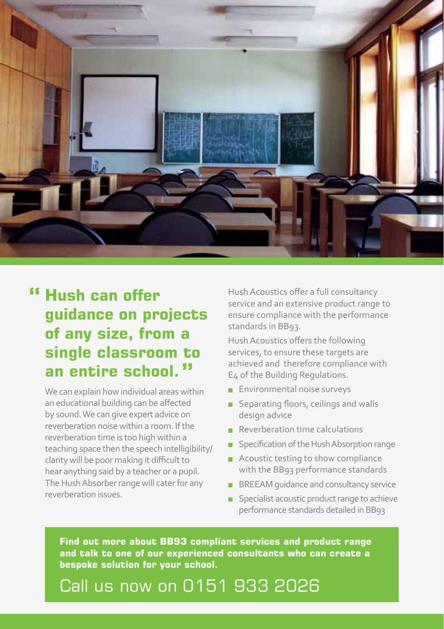

#### **Hush can offer guidance on projects of any size, from a single classroom to an entire school.**

We can explain how individual areas within an educational building can be affected by sound. We can give expert advice on reverberation noise within a room. If the reverberation time is too high within a teaching space then the speech intelligibility/ clarity will be poor making it difficult to hear anything said by a teacher or a pupil. The Hush Absorber range will cater for any reverberation issues.

Hush Acoustics offer a full consultancy service and an extensive product range to ensure compliance with the performance standards in BB93.

Hush Acoustics offers the following services, to ensure these targets are achieved and therefore compliance with E4 of the Building Regulations.

- **Environmental noise surveys**
- Separating floors, ceilings and walls design advice
- $\blacksquare$  Reverberation time calculations
- **Specification of the Hush Absorption range**
- Acoustic testing to show compliance with the BB93 performance standards
- **BREEAM** guidance and consultancy service
- **Specialist acoustic product range to achieve** performance standards detailed in BB93

**Find out more about BB93 compliant services and product range and talk to one of our experienced consultants who can create a bespoke solution for your school.** 

## Call us now on 0151 933 2026